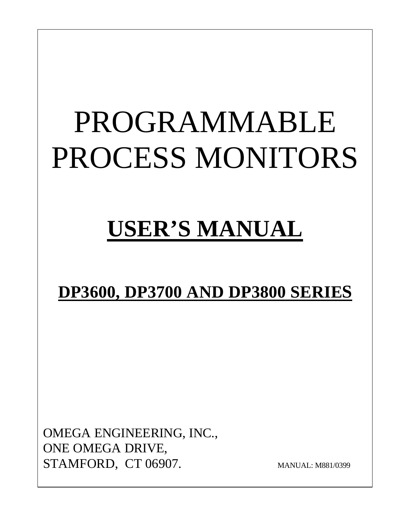# PROGRAMMABLE PROCESS MONITORS

## **USER'S MANUAL**

## **DP3600, DP3700 AND DP3800 SERIES**

OMEGA ENGINEERING, INC., ONE OMEGA DRIVE, STAMFORD, CT 06907. MANUAL: M881/0399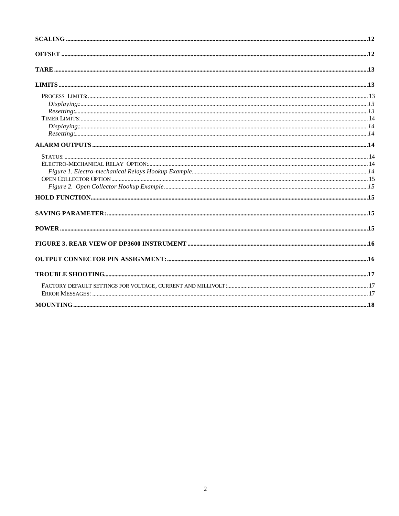| Displaying: 13 |  |
|----------------|--|
|                |  |
|                |  |
|                |  |
|                |  |
|                |  |
|                |  |
|                |  |
|                |  |
|                |  |
|                |  |
|                |  |
|                |  |
|                |  |
|                |  |
|                |  |
|                |  |
|                |  |
|                |  |
|                |  |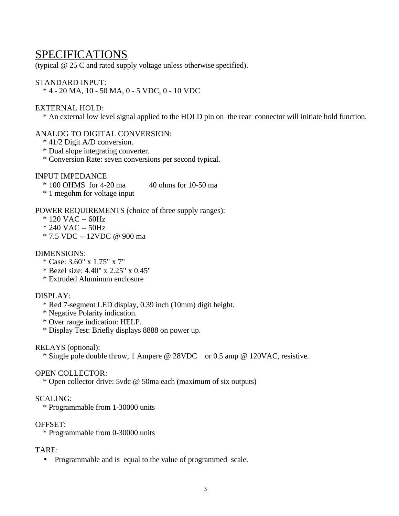## SPECIFICATIONS

(typical @ 25 C and rated supply voltage unless otherwise specified).

#### STANDARD INPUT:

\* 4 - 20 MA, 10 - 50 MA, 0 - 5 VDC, 0 - 10 VDC

#### EXTERNAL HOLD:

\* An external low level signal applied to the HOLD pin on the rear connector will initiate hold function.

#### ANALOG TO DIGITAL CONVERSION:

- \* 41/2 Digit A/D conversion.
- \* Dual slope integrating converter.
- \* Conversion Rate: seven conversions per second typical.

#### INPUT IMPEDANCE

- $*$  100 OHMS for 4-20 ma  $40$  ohms for 10-50 ma
- \* 1 megohm for voltage input

#### POWER REQUIREMENTS (choice of three supply ranges):

- $*$  120 VAC -- 60Hz
- \* 240 VAC -- 50Hz
- \* 7.5 VDC -- 12VDC @ 900 ma

#### DIMENSIONS:

- \* Case: 3.60" x 1.75" x 7"
- \* Bezel size: 4.40" x 2.25" x 0.45"
- \* Extruded Aluminum enclosure
- DISPLAY:
	- \* Red 7-segment LED display, 0.39 inch (10mm) digit height.
	- \* Negative Polarity indication.
	- \* Over range indication: HELP.
	- \* Display Test: Briefly displays 8888 on power up.

#### RELAYS (optional):

\* Single pole double throw, 1 Ampere @ 28VDC or 0.5 amp @ 120VAC, resistive.

#### OPEN COLLECTOR:

\* Open collector drive: 5vdc @ 50ma each (maximum of six outputs)

#### SCALING:

\* Programmable from 1-30000 units

#### OFFSET:

\* Programmable from 0-30000 units

#### TARE:

• Programmable and is equal to the value of programmed scale.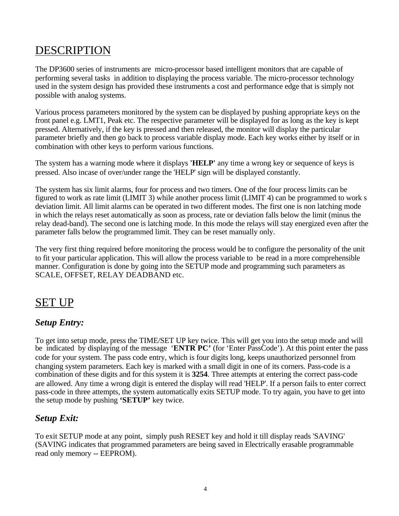## DESCRIPTION

The DP3600 series of instruments are micro-processor based intelligent monitors that are capable of performing several tasks in addition to displaying the process variable. The micro-processor technology used in the system design has provided these instruments a cost and performance edge that is simply not possible with analog systems.

Various process parameters monitored by the system can be displayed by pushing appropriate keys on the front panel e.g. LMT1, Peak etc. The respective parameter will be displayed for as long as the key is kept pressed. Alternatively, if the key is pressed and then released, the monitor will display the particular parameter briefly and then go back to process variable display mode. Each key works either by itself or in combination with other keys to perform various functions.

The system has a warning mode where it displays **'HELP'** any time a wrong key or sequence of keys is pressed. Also incase of over/under range the 'HELP' sign will be displayed constantly.

The system has six limit alarms, four for process and two timers. One of the four process limits can be figured to work as rate limit (LIMIT 3) while another process limit (LIMIT 4) can be programmed to work s deviation limit. All limit alarms can be operated in two different modes. The first one is non latching mode in which the relays reset automatically as soon as process, rate or deviation falls below the limit (minus the relay dead-band). The second one is latching mode. In this mode the relays will stay energized even after the parameter falls below the programmed limit. They can be reset manually only.

The very first thing required before monitoring the process would be to configure the personality of the unit to fit your particular application. This will allow the process variable to be read in a more comprehensible manner. Configuration is done by going into the SETUP mode and programming such parameters as SCALE, OFFSET, RELAY DEADBAND etc.

## SET UP

#### *Setup Entry:*

To get into setup mode, press the TIME/SET UP key twice. This will get you into the setup mode and will be indicated by displaying of the message '**ENTR PC'** (for 'Enter PassCode'). At this point enter the pass code for your system. The pass code entry, which is four digits long, keeps unauthorized personnel from changing system parameters. Each key is marked with a small digit in one of its corners. Pass-code is a combination of these digits and for this system it is **3254**. Three attempts at entering the correct pass-code are allowed. Any time a wrong digit is entered the display will read 'HELP'. If a person fails to enter correct pass-code in three attempts, the system automatically exits SETUP mode. To try again, you have to get into the setup mode by pushing **'SETUP'** key twice.

#### *Setup Exit:*

To exit SETUP mode at any point, simply push RESET key and hold it till display reads 'SAVING' (SAVING indicates that programmed parameters are being saved in Electrically erasable programmable read only memory -- EEPROM).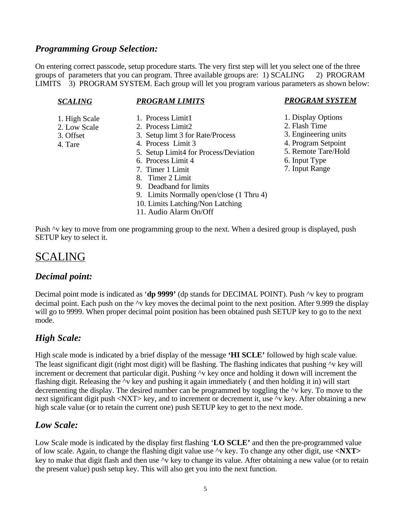#### *Programming Group Selection:*

On entering correct passcode, setup procedure starts. The very first step will let you select one of the three groups of parameters that you can program. Three available groups are: 1) SCALING 2) PROGRAM LIMITS 3) PROGRAM SYSTEM. Each group will let you program various parameters as shown below:

#### *SCALING*

#### *PROGRAM LIMITS*

- 1. High Scale
- 2. Low Scale
- 3. Offset
- 4. Tare
- 1. Process Limit1
- 2. Process Limit2
- 3. Setup limt 3 for Rate/Process
- 4. Process Limit 3
- 5. Setup Limit4 for Process/Deviation
- 6. Process Limit 4
- 7. Timer 1 Limit
- 8. Timer 2 Limit
- 9. Deadband for limits
- 9. Limits Normally open/close (1 Thru 4)
- 10. Limits Latching/Non Latching
- 11. Audio Alarm On/Off

#### *PROGRAM SYSTEM*

- 1. Display Options
- 2. Flash Time
- 3. Engineering units
- 4. Program Setpoint
- 5. Remote Tare/Hold
- 6. Input Type
- 7. Input Range

Push  $\gamma$  key to move from one programming group to the next. When a desired group is displayed, push SETUP key to select it.

## SCALING

#### *Decimal point:*

Decimal point mode is indicated as '**dp 9999'** (dp stands for DECIMAL POINT). Push ^v key to program decimal point. Each push on the ^v key moves the decimal point to the next position. After 9.999 the display will go to 9999. When proper decimal point position has been obtained push SETUP key to go to the next mode.

#### *High Scale:*

High scale mode is indicated by a brief display of the message **'HI SCLE'** followed by high scale value. The least significant digit (right most digit) will be flashing. The flashing indicates that pushing  $\gamma$  key will increment or decrement that particular digit. Pushing  $\gamma v$  key once and holding it down will increment the flashing digit. Releasing the ^v key and pushing it again immediately ( and then holding it in) will start decrementing the display. The desired number can be programmed by toggling the ^v key. To move to the next significant digit push <NXT> key, and to increment or decrement it, use  $\sim$ v key. After obtaining a new high scale value (or to retain the current one) push SETUP key to get to the next mode.

#### *Low Scale:*

Low Scale mode is indicated by the display first flashing '**LO SCLE'** and then the pre-programmed value of low scale. Again, to change the flashing digit value use ^v key. To change any other digit, use **<NXT>** key to make that digit flash and then use ^v key to change its value. After obtaining a new value (or to retain the present value) push setup key. This will also get you into the next function.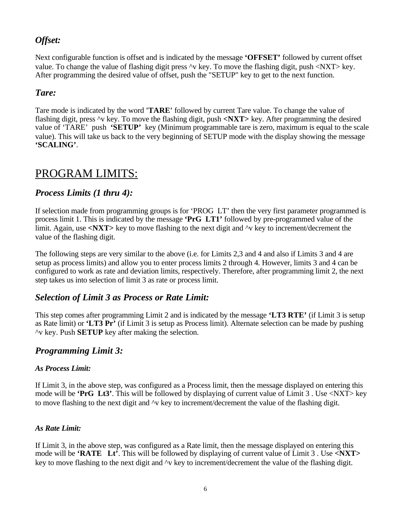#### *Offset:*

Next configurable function is offset and is indicated by the message **'OFFSET'** followed by current offset value. To change the value of flashing digit press ^v key. To move the flashing digit, push <NXT> key. After programming the desired value of offset, push the "SETUP" key to get to the next function.

#### *Tare:*

Tare mode is indicated by the word **'TARE'** followed by current Tare value. To change the value of flashing digit, press ^v key. To move the flashing digit, push **<NXT>** key. After programming the desired value of 'TARE' push **'SETUP'** key (Minimum programmable tare is zero, maximum is equal to the scale value). This will take us back to the very beginning of SETUP mode with the display showing the message **'SCALING'**.

## PROGRAM LIMITS:

#### *Process Limits (1 thru 4):*

If selection made from programming groups is for 'PROG LT' then the very first parameter programmed is process limit 1. This is indicated by the message **'PrG LT1'** followed by pre-programmed value of the limit. Again, use <NXT> key to move flashing to the next digit and  $\gamma v$  key to increment/decrement the value of the flashing digit.

The following steps are very similar to the above (i.e. for Limits 2,3 and 4 and also if Limits 3 and 4 are setup as process limits) and allow you to enter process limits 2 through 4. However, limits 3 and 4 can be configured to work as rate and deviation limits, respectively. Therefore, after programming limit 2, the next step takes us into selection of limit 3 as rate or process limit.

#### *Selection of Limit 3 as Process or Rate Limit:*

This step comes after programming Limit 2 and is indicated by the message **'LT3 RTE'** (if Limit 3 is setup as Rate limit) or **'LT3 Pr'** (if Limit 3 is setup as Process limit). Alternate selection can be made by pushing ^v key. Push **SETUP** key after making the selection.

#### *Programming Limit 3:*

#### *As Process Limit:*

If Limit 3, in the above step, was configured as a Process limit, then the message displayed on entering this mode will be **'PrG Lt3'**. This will be followed by displaying of current value of Limit 3 . Use <NXT> key to move flashing to the next digit and ^v key to increment/decrement the value of the flashing digit.

#### *As Rate Limit:*

If Limit 3, in the above step, was configured as a Rate limit, then the message displayed on entering this mode will be **'RATE Lt'**. This will be followed by displaying of current value of Limit 3 . Use **<NXT>** key to move flashing to the next digit and ^v key to increment/decrement the value of the flashing digit.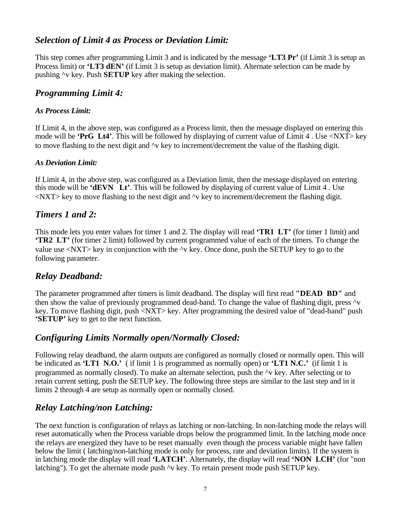#### *Selection of Limit 4 as Process or Deviation Limit:*

This step comes after programming Limit 3 and is indicated by the message **'LT3 Pr'** (if Limit 3 is setup as Process limit) or **'LT3 dEN'** (if Limit 3 is setup as deviation limit). Alternate selection can be made by pushing ^v key. Push **SETUP** key after making the selection.

#### *Programming Limit 4:*

#### *As Process Limit:*

If Limit 4, in the above step, was configured as a Process limit, then the message displayed on entering this mode will be **'PrG Lt4'**. This will be followed by displaying of current value of Limit 4 . Use <NXT> key to move flashing to the next digit and ^v key to increment/decrement the value of the flashing digit.

#### *As Deviation Limit:*

If Limit 4, in the above step, was configured as a Deviation limit, then the message displayed on entering this mode will be **'dEVN Lt'**. This will be followed by displaying of current value of Limit 4 . Use  $\langle NXT \rangle$  key to move flashing to the next digit and  $\gamma$  key to increment/decrement the flashing digit.

#### *Timers 1 and 2:*

This mode lets you enter values for timer 1 and 2. The display will read **'TR1 LT'** (for timer 1 limit) and **'TR2 LT'** (for timer 2 limit) followed by current programmed value of each of the timers. To change the value use  $\langle$ NXT $\rangle$  key in conjunction with the  $\sim$ v key. Once done, push the SETUP key to go to the following parameter.

#### *Relay Deadband:*

The parameter programmed after timers is limit deadband. The display will first read **"DEAD BD"** and then show the value of previously programmed dead-band. To change the value of flashing digit, press  $\sim$ v key. To move flashing digit, push <NXT> key. After programming the desired value of "dead-band" push **'SETUP'** key to get to the next function.

#### *Configuring Limits Normally open/Normally Closed:*

Following relay deadband, the alarm outputs are configured as normally closed or normally open. This will be indicated as **'LT1 N.O.'** ( if limit 1 is programmed as normally open) or **'LT1 N.C.'** (if limit 1 is programmed as normally closed). To make an alternate selection, push the ^v key. After selecting or to retain current setting, push the SETUP key. The following three steps are similar to the last step and in it limits 2 through 4 are setup as normally open or normally closed.

#### *Relay Latching/non Latching:*

The next function is configuration of relays as latching or non-latching. In non-latching mode the relays will reset automatically when the Process variable drops below the programmed limit. In the latching mode once the relays are energized they have to be reset manually even though the process variable might have fallen below the limit ( latching/non-latching mode is only for process, rate and deviation limits). If the system is in latching mode the display will read **'LATCH'**. Alternately, the display will read **'NON LCH'** (for "non latching"). To get the alternate mode push ^v key. To retain present mode push SETUP key.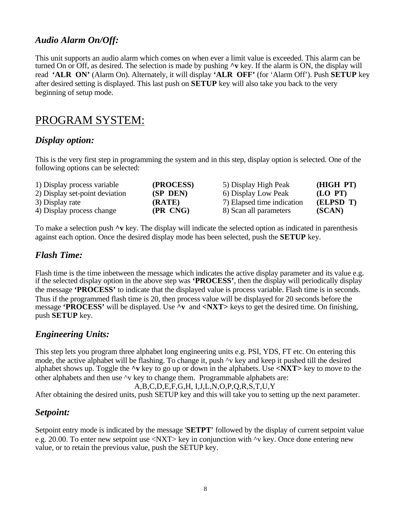#### *Audio Alarm On/Off:*

This unit supports an audio alarm which comes on when ever a limit value is exceeded. This alarm can be turned On or Off, as desired. The selection is made by pushing **^v** key. If the alarm is ON, the display will read **'ALR ON'** (Alarm On). Alternately, it will display **'ALR OFF'** (for 'Alarm Off'). Push **SETUP** key after desired setting is displayed. This last push on **SETUP** key will also take you back to the very beginning of setup mode.

## PROGRAM SYSTEM:

#### *Display option:*

This is the very first step in programming the system and in this step, display option is selected. One of the following options can be selected:

| 1) Display process variable    | (PROCESS) | 5) Display High Peak       | (HIGH PT) |
|--------------------------------|-----------|----------------------------|-----------|
| 2) Display set-point deviation | (SP DEN)  | 6) Display Low Peak        | (LO PT)   |
| 3) Display rate                | (RATE)    | 7) Elapsed time indication | (ELPSD T) |
| 4) Display process change      | (PR CNG)  | 8) Scan all parameters     | (SCAN)    |

To make a selection push **^v** key. The display will indicate the selected option as indicated in parenthesis against each option. Once the desired display mode has been selected, push the **SETUP** key.

#### *Flash Time:*

Flash time is the time inbetween the message which indicates the active display parameter and its value e.g. if the selected display option in the above step was **'PROCESS'**, then the display will periodically display the message **'PROCESS'** to indicate that the displayed value is process variable. Flash time is in seconds. Thus if the programmed flash time is 20, then process value will be displayed for 20 seconds before the message **'PROCESS'** will be displayed. Use **^v** and **<NXT>** keys to get the desired time. On finishing, push **SETUP** key.

#### *Engineering Units:*

This step lets you program three alphabet long engineering units e.g. PSI, YDS, FT etc. On entering this mode, the active alphabet will be flashing. To change it, push  $\gamma v$  key and keep it pushed till the desired alphabet shows up. Toggle the **^v** key to go up or down in the alphabets. Use **<NXT>** key to move to the other alphabets and then use ^v key to change them. Programmable alphabets are:

```
A,B,C,D,E,F,G,H, I,J,L,N,O,P,Q,R,S,T,U,Y
```
After obtaining the desired units, push SETUP key and this will take you to setting up the next parameter.

#### *Setpoint:*

Setpoint entry mode is indicated by the message '**SETPT'** followed by the display of current setpoint value e.g. 20.00. To enter new setpoint use <NXT> key in conjunction with  $\gamma v$  key. Once done entering new value, or to retain the previous value, push the SETUP key.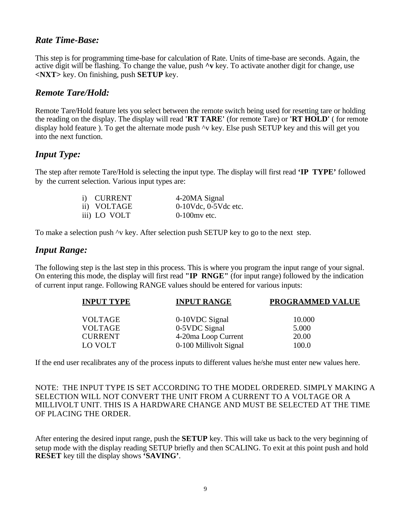#### *Rate Time-Base:*

This step is for programming time-base for calculation of Rate. Units of time-base are seconds. Again, the active digit will be flashing. To change the value, push **^v** key. To activate another digit for change, use **<NXT>** key. On finishing, push **SETUP** key.

#### *Remote Tare/Hold:*

Remote Tare/Hold feature lets you select between the remote switch being used for resetting tare or holding the reading on the display. The display will read **'RT TARE'** (for remote Tare) or **'RT HOLD'** ( for remote display hold feature ). To get the alternate mode push  $\sim$ v key. Else push SETUP key and this will get you into the next function.

#### *Input Type:*

The step after remote Tare/Hold is selecting the input type. The display will first read **'IP TYPE'** followed by the current selection. Various input types are:

| i) CURRENT   | 4-20MA Signal              |
|--------------|----------------------------|
| ii) VOLTAGE  | $0-10$ Vdc, $0-5$ Vdc etc. |
| iii) LO VOLT | $0-100$ mv etc.            |

To make a selection push  $\sim$ v key. After selection push SETUP key to go to the next step.

#### *Input Range:*

The following step is the last step in this process. This is where you program the input range of your signal. On entering this mode, the display will first read **"IP RNGE"** (for input range) followed by the indication of current input range. Following RANGE values should be entered for various inputs:

| <b>INPUT TYPE</b> | <b>INPUT RANGE</b>     | <b>PROGRAMMED VALUE</b> |
|-------------------|------------------------|-------------------------|
| VOLTAGE           | 0-10VDC Signal         | 10.000                  |
| <b>VOLTAGE</b>    | 0-5 VDC Signal         | 5.000                   |
| <b>CURRENT</b>    | 4-20ma Loop Current    | 20.00                   |
| LO VOLT           | 0-100 Millivolt Signal | 100.0                   |

If the end user recalibrates any of the process inputs to different values he/she must enter new values here.

NOTE: THE INPUT TYPE IS SET ACCORDING TO THE MODEL ORDERED. SIMPLY MAKING A SELECTION WILL NOT CONVERT THE UNIT FROM A CURRENT TO A VOLTAGE OR A MILLIVOLT UNIT. THIS IS A HARDWARE CHANGE AND MUST BE SELECTED AT THE TIME OF PLACING THE ORDER.

After entering the desired input range, push the **SETUP** key. This will take us back to the very beginning of setup mode with the display reading SETUP briefly and then SCALING. To exit at this point push and hold **RESET** key till the display shows **'SAVING'**.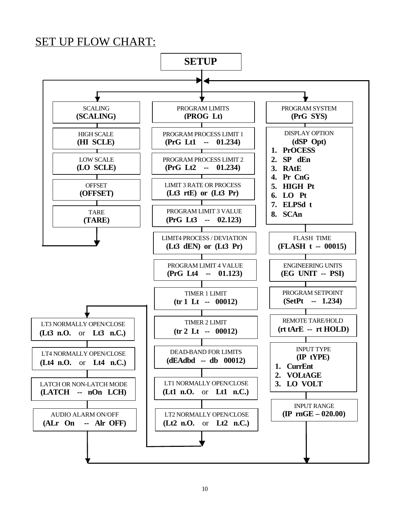## SET UP FLOW CHART:

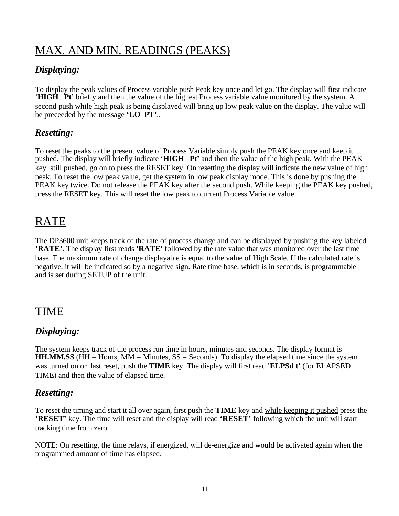## MAX. AND MIN. READINGS (PEAKS)

#### *Displaying:*

To display the peak values of Process variable push Peak key once and let go. The display will first indicate '**HIGH Pt'** briefly and then the value of the highest Process variable value monitored by the system. A second push while high peak is being displayed will bring up low peak value on the display. The value will be preceeded by the message **'LO PT'**..

#### *Resetting:*

To reset the peaks to the present value of Process Variable simply push the PEAK key once and keep it pushed. The display will briefly indicate '**HIGH Pt'** and then the value of the high peak. With the PEAK key still pushed, go on to press the RESET key. On resetting the display will indicate the new value of high peak. To reset the low peak value, get the system in low peak display mode. This is done by pushing the PEAK key twice. Do not release the PEAK key after the second push. While keeping the PEAK key pushed, press the RESET key. This will reset the low peak to current Process Variable value.

## RATE

The DP3600 unit keeps track of the rate of process change and can be displayed by pushing the key labeled **'RATE'**. The display first reads **'RATE'** followed by the rate value that was monitored over the last time base. The maximum rate of change displayable is equal to the value of High Scale. If the calculated rate is negative, it will be indicated so by a negative sign. Rate time base, which is in seconds, is programmable and is set during SETUP of the unit.

## TIME

#### *Displaying:*

The system keeps track of the process run time in hours, minutes and seconds. The display format is **HH.MM.SS** ( $HH = Hours$ ,  $MM = Minutes$ ,  $SS = Seconds$ ). To display the elapsed time since the system was turned on or last reset, push the **TIME** key. The display will first read **'ELPSd t'** (for ELAPSED TIME) and then the value of elapsed time.

#### *Resetting:*

To reset the timing and start it all over again, first push the **TIME** key and while keeping it pushed press the **'RESET'** key. The time will reset and the display will read **'RESET'** following which the unit will start tracking time from zero.

NOTE: On resetting, the time relays, if energized, will de-energize and would be activated again when the programmed amount of time has elapsed.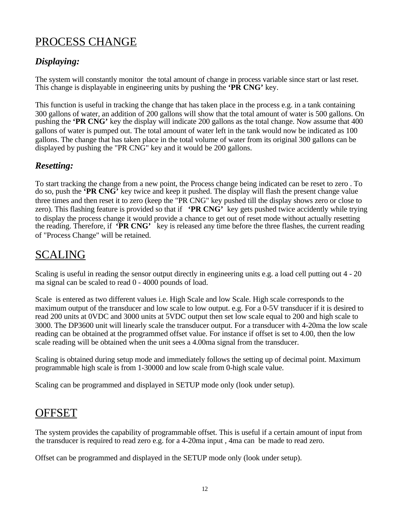## PROCESS CHANGE

## *Displaying:*

The system will constantly monitor the total amount of change in process variable since start or last reset. This change is displayable in engineering units by pushing the **'PR CNG'** key.

This function is useful in tracking the change that has taken place in the process e.g. in a tank containing 300 gallons of water, an addition of 200 gallons will show that the total amount of water is 500 gallons. On pushing the **'PR CNG'** key the display will indicate 200 gallons as the total change. Now assume that 400 gallons of water is pumped out. The total amount of water left in the tank would now be indicated as 100 gallons. The change that has taken place in the total volume of water from its original 300 gallons can be displayed by pushing the "PR CNG" key and it would be 200 gallons.

#### *Resetting:*

To start tracking the change from a new point, the Process change being indicated can be reset to zero . To do so, push the **'PR CNG'** key twice and keep it pushed. The display will flash the present change value three times and then reset it to zero (keep the "PR CNG" key pushed till the display shows zero or close to zero). This flashing feature is provided so that if **'PR CNG'** key gets pushed twice accidently while trying to display the process change it would provide a chance to get out of reset mode without actually resetting the reading. Therefore, if **PR CNG'** key is released any time before the three flashes, the current reading of "Process Change" will be retained.

## SCALING

Scaling is useful in reading the sensor output directly in engineering units e.g. a load cell putting out 4 - 20 ma signal can be scaled to read 0 - 4000 pounds of load.

Scale is entered as two different values i.e. High Scale and low Scale. High scale corresponds to the maximum output of the transducer and low scale to low output. e.g. For a 0-5V transducer if it is desired to read 200 units at 0VDC and 3000 units at 5VDC output then set low scale equal to 200 and high scale to 3000. The DP3600 unit will linearly scale the transducer output. For a transducer with 4-20ma the low scale reading can be obtained at the programmed offset value. For instance if offset is set to 4.00, then the low scale reading will be obtained when the unit sees a 4.00ma signal from the transducer.

Scaling is obtained during setup mode and immediately follows the setting up of decimal point. Maximum programmable high scale is from 1-30000 and low scale from 0-high scale value.

Scaling can be programmed and displayed in SETUP mode only (look under setup).

## **OFFSET**

The system provides the capability of programmable offset. This is useful if a certain amount of input from the transducer is required to read zero e.g. for a 4-20ma input , 4ma can be made to read zero.

Offset can be programmed and displayed in the SETUP mode only (look under setup).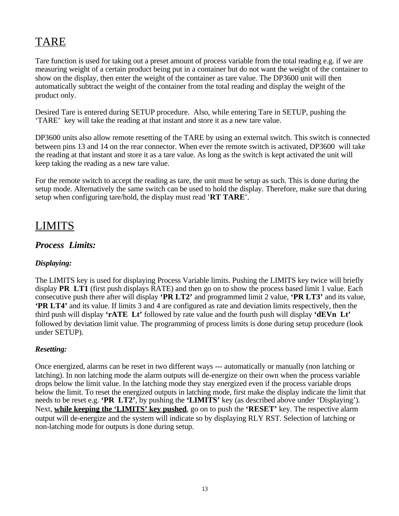## TARE

Tare function is used for taking out a preset amount of process variable from the total reading e.g. if we are measuring weight of a certain product being put in a container but do not want the weight of the container to show on the display, then enter the weight of the container as tare value. The DP3600 unit will then automatically subtract the weight of the container from the total reading and display the weight of the product only.

Desired Tare is entered during SETUP procedure. Also, while entering Tare in SETUP, pushing the 'TARE' key will take the reading at that instant and store it as a new tare value.

DP3600 units also allow remote resetting of the TARE by using an external switch. This switch is connected between pins 13 and 14 on the rear connector. When ever the remote switch is activated, DP3600 will take the reading at that instant and store it as a tare value. As long as the switch is kept activated the unit will keep taking the reading as a new tare value.

For the remote switch to accept the reading as tare, the unit must be setup as such. This is done during the setup mode. Alternatively the same switch can be used to hold the display. Therefore, make sure that during setup when configuring tare/hold, the display must read **'RT TARE'**.

## LIMITS

#### *Process Limits:*

#### *Displaying:*

The LIMITS key is used for displaying Process Variable limits. Pushing the LIMITS key twice will briefly display **PR LT1** (first push displays RATE) and then go on to show the process based limit 1 value. Each consecutive push there after will display **'PR LT2'** and programmed limit 2 value, **'PR LT3'** and its value, **'PR LT4'** and its value. If limits 3 and 4 are configured as rate and deviation limits respectively, then the third push will display **'rATE Lt'** followed by rate value and the fourth push will display **'dEVn Lt'** followed by deviation limit value. The programming of process limits is done during setup procedure (look under SETUP).

#### *Resetting:*

Once energized, alarms can be reset in two different ways --- automatically or manually (non latching or latching). In non latching mode the alarm outputs will de-energize on their own when the process variable drops below the limit value. In the latching mode they stay energized even if the process variable drops below the limit. To reset the energized outputs in latching mode, first make the display indicate the limit that needs to be reset e.g. **'PR LT2'**, by pushing the **'LIMITS'** key (as described above under 'Displaying'). Next, **while keeping the 'LIMITS' key pushed**, go on to push the **'RESET'** key. The respective alarm output will de-energize and the system will indicate so by displaying RLY RST. Selection of latching or non-latching mode for outputs is done during setup.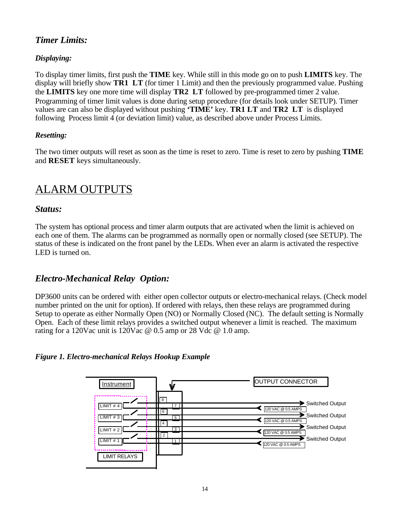#### *Timer Limits:*

#### *Displaying:*

To display timer limits, first push the **TIME** key. While still in this mode go on to push **LIMITS** key. The display will briefly show **TR1 LT** (for timer 1 Limit) and then the previously programmed value. Pushing the **LIMITS** key one more time will display **TR2 LT** followed by pre-programmed timer 2 value. Programming of timer limit values is done during setup procedure (for details look under SETUP). Timer values are can also be displayed without pushing **'TIME'** key. **TR1 LT** and **TR2 LT** is displayed following Process limit 4 (or deviation limit) value, as described above under Process Limits.

#### *Resetting:*

The two timer outputs will reset as soon as the time is reset to zero. Time is reset to zero by pushing **TIME**  and **RESET** keys simultaneously.

## ALARM OUTPUTS

#### *Status:*

The system has optional process and timer alarm outputs that are activated when the limit is achieved on each one of them. The alarms can be programmed as normally open or normally closed (see SETUP). The status of these is indicated on the front panel by the LEDs. When ever an alarm is activated the respective LED is turned on.

#### *Electro-Mechanical Relay Option:*

DP3600 units can be ordered with either open collector outputs or electro-mechanical relays. (Check model number printed on the unit for option). If ordered with relays, then these relays are programmed during Setup to operate as either Normally Open (NO) or Normally Closed (NC). The default setting is Normally Open. Each of these limit relays provides a switched output whenever a limit is reached. The maximum rating for a 120Vac unit is 120Vac @ 0.5 amp or 28 Vdc @ 1.0 amp.

#### *Figure 1. Electro-mechanical Relays Hookup Example*

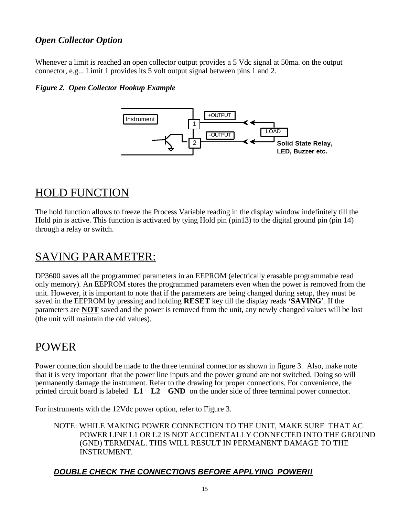#### *Open Collector Option*

Whenever a limit is reached an open collector output provides a 5 Vdc signal at 50ma, on the output connector, e.g... Limit 1 provides its 5 volt output signal between pins 1 and 2.

#### *Figure 2. Open Collector Hookup Example*



## HOLD FUNCTION

The hold function allows to freeze the Process Variable reading in the display window indefinitely till the Hold pin is active. This function is activated by tying Hold pin (pin13) to the digital ground pin (pin 14) through a relay or switch.

## SAVING PARAMETER:

DP3600 saves all the programmed parameters in an EEPROM (electrically erasable programmable read only memory). An EEPROM stores the programmed parameters even when the power is removed from the unit. However, it is important to note that if the parameters are being changed during setup, they must be saved in the EEPROM by pressing and holding **RESET** key till the display reads **'SAVING'**. If the parameters are **NOT** saved and the power is removed from the unit, any newly changed values will be lost (the unit will maintain the old values).

## POWER

Power connection should be made to the three terminal connector as shown in figure 3. Also, make note that it is very important that the power line inputs and the power ground are not switched. Doing so will permanently damage the instrument. Refer to the drawing for proper connections. For convenience, the printed circuit board is labeled **L1 L2 GND** on the under side of three terminal power connector.

For instruments with the 12Vdc power option, refer to Figure 3.

NOTE: WHILE MAKING POWER CONNECTION TO THE UNIT, MAKE SURE THAT AC POWER LINE L1 OR L2 IS NOT ACCIDENTALLY CONNECTED INTO THE GROUND (GND) TERMINAL. THIS WILL RESULT IN PERMANENT DAMAGE TO THE INSTRUMENT.

#### *DOUBLE CHECK THE CONNECTIONS BEFORE APPLYING POWER!!*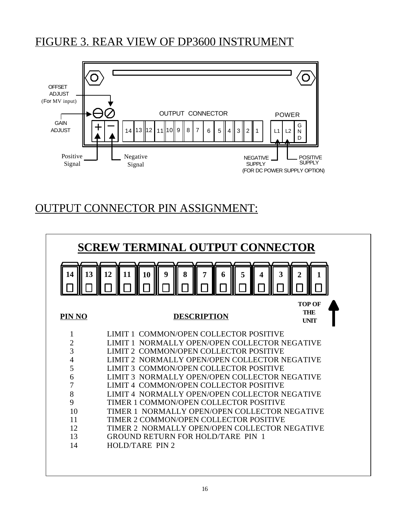## FIGURE 3. REAR VIEW OF DP3600 INSTRUMENT



## OUTPUT CONNECTOR PIN ASSIGNMENT:

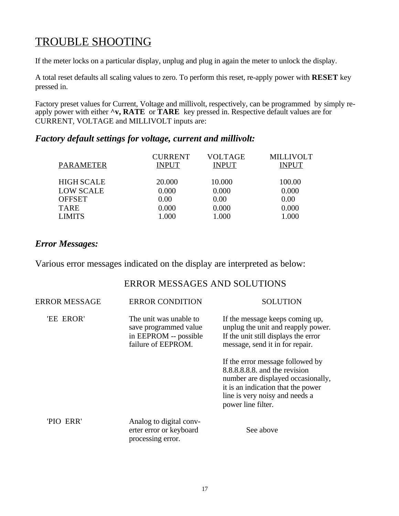## TROUBLE SHOOTING

If the meter locks on a particular display, unplug and plug in again the meter to unlock the display.

A total reset defaults all scaling values to zero. To perform this reset, re-apply power with **RESET** key pressed in.

Factory preset values for Current, Voltage and millivolt, respectively, can be programmed by simply reapply power with either **^v, RATE** or **TARE** key pressed in. Respective default values are for CURRENT, VOLTAGE and MILLIVOLT inputs are:

#### *Factory default settings for voltage, current and millivolt:*

| PARAMETER         | <b>CURRENT</b><br><b>INPUT</b> | <b>VOLTAGE</b><br><b>INPUT</b> | <b>MILLIVOLT</b><br><b>INPUT</b> |
|-------------------|--------------------------------|--------------------------------|----------------------------------|
| <b>HIGH SCALE</b> | 20.000                         | 10.000                         | 100.00                           |
| <b>LOW SCALE</b>  | 0.000                          | 0.000                          | 0.000                            |
| <b>OFFSET</b>     | 0.00                           | 0.00                           | 0.00                             |
| TARE              | 0.000                          | 0.000                          | 0.000                            |
| <b>LIMITS</b>     | 1.000                          | 1.000                          | 1.000                            |
|                   |                                |                                |                                  |

#### *Error Messages:*

Various error messages indicated on the display are interpreted as below:

#### ERROR MESSAGES AND SOLUTIONS

| <b>ERROR MESSAGE</b> | <b>ERROR CONDITION</b>                                                                         | <b>SOLUTION</b>                                                                                                                                                                                      |
|----------------------|------------------------------------------------------------------------------------------------|------------------------------------------------------------------------------------------------------------------------------------------------------------------------------------------------------|
| 'EE EROR'            | The unit was unable to<br>save programmed value<br>in EEPROM -- possible<br>failure of EEPROM. | If the message keeps coming up,<br>unplug the unit and reapply power.<br>If the unit still displays the error<br>message, send it in for repair.                                                     |
|                      |                                                                                                | If the error message followed by<br>8.8.8.8.8.8 and the revision<br>number are displayed occasionally,<br>it is an indication that the power<br>line is very noisy and needs a<br>power line filter. |
| 'PIO ERR'            | Analog to digital conv-<br>erter error or keyboard<br>processing error.                        | See above                                                                                                                                                                                            |